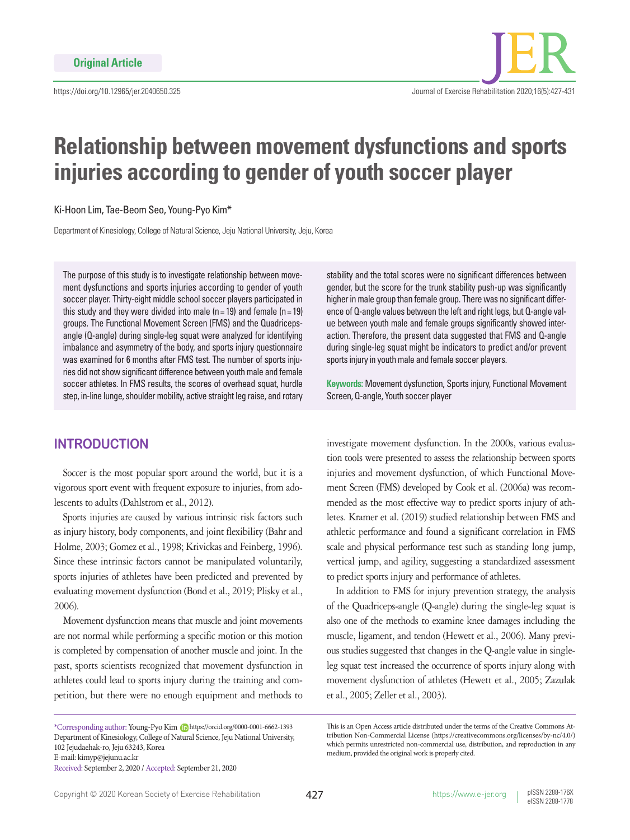

# **Relationship between movement dysfunctions and sports injuries according to gender of youth soccer player**

Ki-Hoon Lim, Tae-Beom Seo, Young-Pyo Kim\*

Department of Kinesiology, College of Natural Science, Jeju National University, Jeju, Korea

The purpose of this study is to investigate relationship between movement dysfunctions and sports injuries according to gender of youth soccer player. Thirty-eight middle school soccer players participated in this study and they were divided into male (n= 19) and female (n= 19) groups. The Functional Movement Screen (FMS) and the Quadricepsangle (Q-angle) during single-leg squat were analyzed for identifying imbalance and asymmetry of the body, and sports injury questionnaire was examined for 6 months after FMS test. The number of sports injuries did not show significant difference between youth male and female soccer athletes. In FMS results, the scores of overhead squat, hurdle step, in-line lunge, shoulder mobility, active straight leg raise, and rotary

## **INTRODUCTION**

Soccer is the most popular sport around the world, but it is a vigorous sport event with frequent exposure to injuries, from adolescents to adults (Dahlstrom et al., 2012).

Sports injuries are caused by various intrinsic risk factors such as injury history, body components, and joint flexibility (Bahr and Holme, 2003; Gomez et al., 1998; Krivickas and Feinberg, 1996). Since these intrinsic factors cannot be manipulated voluntarily, sports injuries of athletes have been predicted and prevented by evaluating movement dysfunction (Bond et al., 2019; Plisky et al., 2006).

Movement dysfunction means that muscle and joint movements are not normal while performing a specific motion or this motion is completed by compensation of another muscle and joint. In the past, sports scientists recognized that movement dysfunction in athletes could lead to sports injury during the training and competition, but there were no enough equipment and methods to

\*Corresponding author: Young-Pyo Kim https://orcid.org/0000-0001-6662-1393 Department of Kinesiology, College of Natural Science, Jeju National University, 102 Jejudaehak-ro, Jeju 63243, Korea E-mail: kimyp@jejunu.ac.kr Received: September 2, 2020 / Accepted: September 21, 2020

stability and the total scores were no significant differences between gender, but the score for the trunk stability push-up was significantly higher in male group than female group. There was no significant difference of Q-angle values between the left and right legs, but Q-angle value between youth male and female groups significantly showed interaction. Therefore, the present data suggested that FMS and Q-angle during single-leg squat might be indicators to predict and/or prevent sports injury in youth male and female soccer players.

**Keywords:** Movement dysfunction, Sports injury, Functional Movement Screen, Q-angle, Youth soccer player

investigate movement dysfunction. In the 2000s, various evaluation tools were presented to assess the relationship between sports injuries and movement dysfunction, of which Functional Movement Screen (FMS) developed by Cook et al. (2006a) was recommended as the most effective way to predict sports injury of athletes. Kramer et al. (2019) studied relationship between FMS and athletic performance and found a significant correlation in FMS scale and physical performance test such as standing long jump, vertical jump, and agility, suggesting a standardized assessment to predict sports injury and performance of athletes.

In addition to FMS for injury prevention strategy, the analysis of the Quadriceps-angle (Q-angle) during the single-leg squat is also one of the methods to examine knee damages including the muscle, ligament, and tendon (Hewett et al., 2006). Many previous studies suggested that changes in the Q-angle value in singleleg squat test increased the occurrence of sports injury along with movement dysfunction of athletes (Hewett et al., 2005; Zazulak et al., 2005; Zeller et al., 2003).

This is an Open Access article distributed under the terms of the Creative Commons Attribution Non-Commercial License (https://creativecommons.org/licenses/by-nc/4.0/) which permits unrestricted non-commercial use, distribution, and reproduction in any medium, provided the original work is properly cited.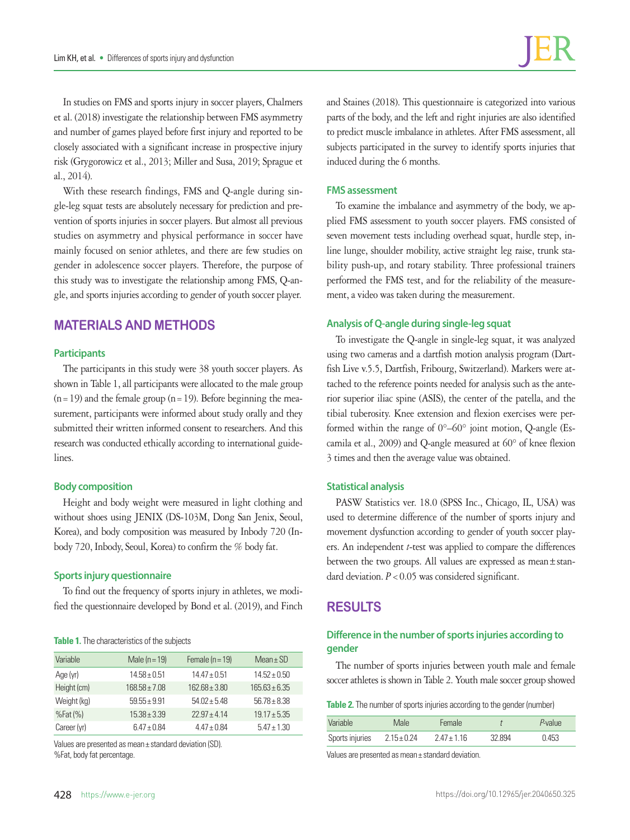In studies on FMS and sports injury in soccer players, Chalmers et al. (2018) investigate the relationship between FMS asymmetry and number of games played before first injury and reported to be closely associated with a significant increase in prospective injury risk (Grygorowicz et al., 2013; Miller and Susa, 2019; Sprague et al., 2014).

With these research findings, FMS and Q-angle during single-leg squat tests are absolutely necessary for prediction and prevention of sports injuries in soccer players. But almost all previous studies on asymmetry and physical performance in soccer have mainly focused on senior athletes, and there are few studies on gender in adolescence soccer players. Therefore, the purpose of this study was to investigate the relationship among FMS, Q-angle, and sports injuries according to gender of youth soccer player.

# **MATERIALS AND METHODS**

#### **Participants**

The participants in this study were 38 youth soccer players. As shown in Table 1, all participants were allocated to the male group  $(n=19)$  and the female group  $(n=19)$ . Before beginning the measurement, participants were informed about study orally and they submitted their written informed consent to researchers. And this research was conducted ethically according to international guidelines.

#### **Body composition**

Height and body weight were measured in light clothing and without shoes using JENIX (DS-103M, Dong San Jenix, Seoul, Korea), and body composition was measured by Inbody 720 (Inbody 720, Inbody, Seoul, Korea) to confirm the % body fat.

#### **Sports injury questionnaire**

To find out the frequency of sports injury in athletes, we modified the questionnaire developed by Bond et al. (2019), and Finch

#### **Table 1.** The characteristics of the subjects

| Variable    | Male $(n=19)$     | Female $(n = 19)$ | $Mean \pm SD$    |
|-------------|-------------------|-------------------|------------------|
| Age (yr)    | $14.58 \pm 0.51$  | $14.47 \pm 0.51$  | $14.52 + 0.50$   |
| Height (cm) | $168.58 \pm 7.08$ | $16268 + 380$     | $16563 + 635$    |
| Weight (kg) | $59.55 + 9.91$    | $54.02 + 5.48$    | $56.78 + 8.38$   |
| $%Fat(\%)$  | $15.38 + 3.39$    | $22.97 + 4.14$    | $19.17 \pm 5.35$ |
| Career (yr) | $6.47 \pm 0.84$   | $4.47 \pm 0.84$   | $5.47 \pm 1.30$  |

Values are presented as mean± standard deviation (SD). %Fat, body fat percentage.

and Staines (2018). This questionnaire is categorized into various parts of the body, and the left and right injuries are also identified to predict muscle imbalance in athletes. After FMS assessment, all subjects participated in the survey to identify sports injuries that induced during the 6 months.

#### **FMS assessment**

To examine the imbalance and asymmetry of the body, we applied FMS assessment to youth soccer players. FMS consisted of seven movement tests including overhead squat, hurdle step, inline lunge, shoulder mobility, active straight leg raise, trunk stability push-up, and rotary stability. Three professional trainers performed the FMS test, and for the reliability of the measurement, a video was taken during the measurement.

#### **Analysis of Q-angle during single-leg squat**

To investigate the Q-angle in single-leg squat, it was analyzed using two cameras and a dartfish motion analysis program (Dartfish Live v.5.5, Dartfish, Fribourg, Switzerland). Markers were attached to the reference points needed for analysis such as the anterior superior iliac spine (ASIS), the center of the patella, and the tibial tuberosity. Knee extension and flexion exercises were performed within the range of  $0^{\circ}$ –60° joint motion, Q-angle (Escamila et al., 2009) and Q-angle measured at 60° of knee flexion 3 times and then the average value was obtained.

#### **Statistical analysis**

PASW Statistics ver. 18.0 (SPSS Inc., Chicago, IL, USA) was used to determine difference of the number of sports injury and movement dysfunction according to gender of youth soccer players. An independent *t*-test was applied to compare the differences between the two groups. All values are expressed as mean±standard deviation.  $P < 0.05$  was considered significant.

## **RESULTS**

## **Difference in the number of sports injuries according to gender**

The number of sports injuries between youth male and female soccer athletes is shown in Table 2. Youth male soccer group showed

| <b>Table 2.</b> The number of sports injuries according to the gender (number) |  |  |  |  |
|--------------------------------------------------------------------------------|--|--|--|--|
|                                                                                |  |  |  |  |

| Variable        | Male            | Female          |        | $P$ -value |
|-----------------|-----------------|-----------------|--------|------------|
| Sports injuries | $2.15 \pm 0.24$ | $2.47 \pm 1.16$ | 32 894 | 0.453      |

Values are presented as mean± standard deviation.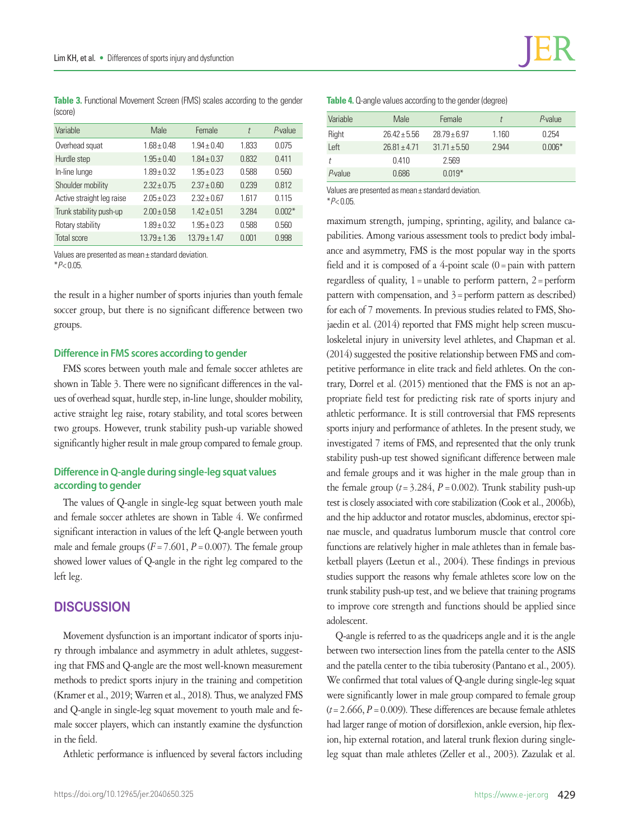**Table 3.** Functional Movement Screen (FMS) scales according to the gender (score)

| Variable                  | Male             | Female           | t     | P-value  |
|---------------------------|------------------|------------------|-------|----------|
| Overhead squat            | $1.68 \pm 0.48$  | $1.94 \pm 0.40$  | 1.833 | 0.075    |
| Hurdle step               | $1.95 \pm 0.40$  | $1.84 \pm 0.37$  | 0.832 | 0.411    |
| In-line lunge             | $1.89 \pm 0.32$  | $1.95 \pm 0.23$  | 0.588 | 0.560    |
| Shoulder mobility         | $2.32 + 0.75$    | $2.37 \pm 0.60$  | 0.239 | 0.812    |
| Active straight leg raise | $2.05 + 0.23$    | $2.32 + 0.67$    | 1617  | 0.115    |
| Trunk stability push-up   | $2.00 \pm 0.58$  | $1.42 \pm 0.51$  | 3.284 | $0.002*$ |
| Rotary stability          | $1.89 \pm 0.32$  | $1.95 \pm 0.23$  | 0.588 | 0.560    |
| <b>Total score</b>        | $13.79 \pm 1.36$ | $13.79 \pm 1.47$ | 0.001 | 0.998    |

Values are presented as mean± standard deviation. \**P*< 0.05.

the result in a higher number of sports injuries than youth female soccer group, but there is no significant difference between two groups.

#### **Difference in FMS scores according to gender**

FMS scores between youth male and female soccer athletes are shown in Table 3. There were no significant differences in the values of overhead squat, hurdle step, in-line lunge, shoulder mobility, active straight leg raise, rotary stability, and total scores between two groups. However, trunk stability push-up variable showed significantly higher result in male group compared to female group.

## **Difference in Q-angle during single-leg squat values according to gender**

The values of Q-angle in single-leg squat between youth male and female soccer athletes are shown in Table 4. We confirmed significant interaction in values of the left Q-angle between youth male and female groups  $(F = 7.601, P = 0.007)$ . The female group showed lower values of Q-angle in the right leg compared to the left leg.

## **DISCUSSION**

Movement dysfunction is an important indicator of sports injury through imbalance and asymmetry in adult athletes, suggesting that FMS and Q-angle are the most well-known measurement methods to predict sports injury in the training and competition (Kramer et al., 2019; Warren et al., 2018). Thus, we analyzed FMS and Q-angle in single-leg squat movement to youth male and female soccer players, which can instantly examine the dysfunction in the field.

Athletic performance is influenced by several factors including

| Table 4. Q-angle values according to the gender (degree) |  |  |
|----------------------------------------------------------|--|--|
|----------------------------------------------------------|--|--|

| Variable | Male             | Female           |       | $P$ -value |
|----------|------------------|------------------|-------|------------|
| Right    | $26.42 + 5.56$   | $28.79 + 6.97$   | 1.160 | 0.254      |
| Left     | $26.81 \pm 4.71$ | $31.71 \pm 5.50$ | 2.944 | $0.006*$   |
| Ť        | 0.410            | 2.569            |       |            |
| P-value  | 0.686            | $0.019*$         |       |            |

Values are presented as mean± standard deviation. \**P*< 0.05.

maximum strength, jumping, sprinting, agility, and balance capabilities. Among various assessment tools to predict body imbalance and asymmetry, FMS is the most popular way in the sports field and it is composed of a 4-point scale  $(0)$  = pain with pattern regardless of quality,  $1 =$ unable to perform pattern,  $2 =$  perform pattern with compensation, and  $3$  = perform pattern as described) for each of 7 movements. In previous studies related to FMS, Shojaedin et al. (2014) reported that FMS might help screen musculoskeletal injury in university level athletes, and Chapman et al. (2014) suggested the positive relationship between FMS and competitive performance in elite track and field athletes. On the contrary, Dorrel et al. (2015) mentioned that the FMS is not an appropriate field test for predicting risk rate of sports injury and athletic performance. It is still controversial that FMS represents sports injury and performance of athletes. In the present study, we investigated 7 items of FMS, and represented that the only trunk stability push-up test showed significant difference between male and female groups and it was higher in the male group than in the female group  $(t=3.284, P=0.002)$ . Trunk stability push-up test is closely associated with core stabilization (Cook et al., 2006b), and the hip adductor and rotator muscles, abdominus, erector spinae muscle, and quadratus lumborum muscle that control core functions are relatively higher in male athletes than in female basketball players (Leetun et al., 2004). These findings in previous studies support the reasons why female athletes score low on the trunk stability push-up test, and we believe that training programs to improve core strength and functions should be applied since adolescent.

Q-angle is referred to as the quadriceps angle and it is the angle between two intersection lines from the patella center to the ASIS and the patella center to the tibia tuberosity (Pantano et al., 2005). We confirmed that total values of Q-angle during single-leg squat were significantly lower in male group compared to female group  $(t=2.666, P=0.009)$ . These differences are because female athletes had larger range of motion of dorsiflexion, ankle eversion, hip flexion, hip external rotation, and lateral trunk flexion during singleleg squat than male athletes (Zeller et al., 2003). Zazulak et al.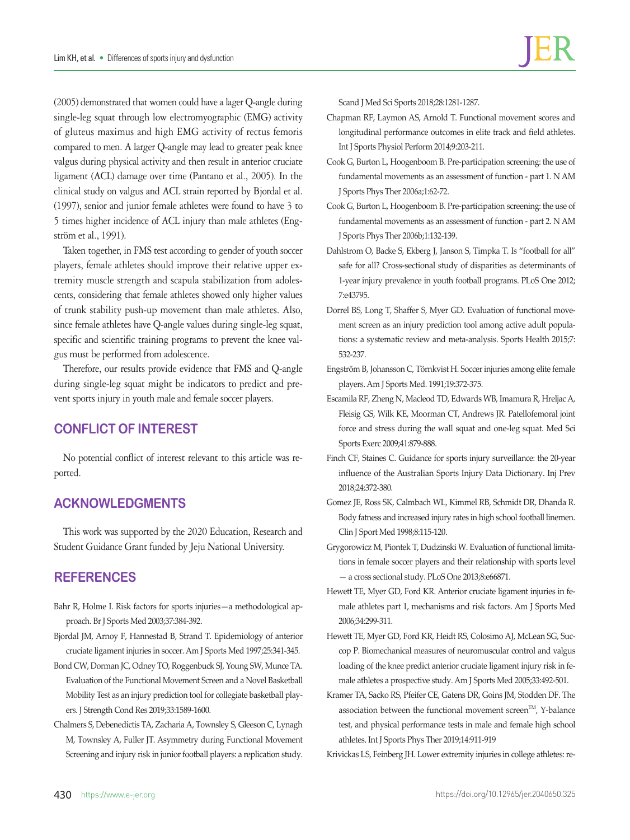(2005) demonstrated that women could have a lager Q-angle during single-leg squat through low electromyographic (EMG) activity of gluteus maximus and high EMG activity of rectus femoris compared to men. A larger Q-angle may lead to greater peak knee valgus during physical activity and then result in anterior cruciate ligament (ACL) damage over time (Pantano et al., 2005). In the clinical study on valgus and ACL strain reported by Bjordal et al. (1997), senior and junior female athletes were found to have 3 to 5 times higher incidence of ACL injury than male athletes (Engström et al., 1991).

Taken together, in FMS test according to gender of youth soccer players, female athletes should improve their relative upper extremity muscle strength and scapula stabilization from adolescents, considering that female athletes showed only higher values of trunk stability push-up movement than male athletes. Also, since female athletes have Q-angle values during single-leg squat, specific and scientific training programs to prevent the knee valgus must be performed from adolescence.

Therefore, our results provide evidence that FMS and Q-angle during single-leg squat might be indicators to predict and prevent sports injury in youth male and female soccer players.

## **CONFLICT OF INTEREST**

No potential conflict of interest relevant to this article was reported.

## **ACKNOWLEDGMENTS**

This work was supported by the 2020 Education, Research and Student Guidance Grant funded by Jeju National University.

## **REFERENCES**

- Bahr R, Holme I. Risk factors for sports injuries—a methodological approach. Br J Sports Med 2003;37:384-392.
- Bjordal JM, Arnoy F, Hannestad B, Strand T. Epidemiology of anterior cruciate ligament injuries in soccer. Am J Sports Med 1997;25:341-345.
- Bond CW, Dorman JC, Odney TO, Roggenbuck SJ, Young SW, Munce TA. Evaluation of the Functional Movement Screen and a Novel Basketball Mobility Test as an injury prediction tool for collegiate basketball players. J Strength Cond Res 2019;33:1589-1600.
- Chalmers S, Debenedictis TA, Zacharia A, Townsley S, Gleeson C, Lynagh M, Townsley A, Fuller JT. Asymmetry during Functional Movement Screening and injury risk in junior football players: a replication study.
- Chapman RF, Laymon AS, Arnold T. Functional movement scores and longitudinal performance outcomes in elite track and field athletes. Int J Sports Physiol Perform 2014;9:203-211.
- Cook G, Burton L, Hoogenboom B. Pre-participation screening: the use of fundamental movements as an assessment of function - part 1. N AM J Sports Phys Ther 2006a;1:62-72.
- Cook G, Burton L, Hoogenboom B. Pre-participation screening: the use of fundamental movements as an assessment of function - part 2. N AM J Sports Phys Ther 2006b;1:132-139.
- Dahlstrom O, Backe S, Ekberg J, Janson S, Timpka T. Is "football for all" safe for all? Cross-sectional study of disparities as determinants of 1-year injury prevalence in youth football programs. PLoS One 2012; 7:e43795.
- Dorrel BS, Long T, Shaffer S, Myer GD. Evaluation of functional movement screen as an injury prediction tool among active adult populations: a systematic review and meta-analysis. Sports Health 2015;7: 532-237.
- Engström B, Johansson C, Törnkvist H. Soccer injuries among elite female players. Am J Sports Med. 1991;19:372-375.
- Escamila RF, Zheng N, Macleod TD, Edwards WB, Imamura R, Hreljac A, Fleisig GS, Wilk KE, Moorman CT, Andrews JR. Patellofemoral joint force and stress during the wall squat and one-leg squat. Med Sci Sports Exerc 2009;41:879-888.
- Finch CF, Staines C. Guidance for sports injury surveillance: the 20-year influence of the Australian Sports Injury Data Dictionary. Inj Prev 2018;24:372-380.
- Gomez JE, Ross SK, Calmbach WL, Kimmel RB, Schmidt DR, Dhanda R. Body fatness and increased injury rates in high school football linemen. Clin J Sport Med 1998;8:115-120.
- Grygorowicz M, Piontek T, Dudzinski W. Evaluation of functional limitations in female soccer players and their relationship with sports level — a cross sectional study. PLoS One 2013;8:e66871.
- Hewett TE, Myer GD, Ford KR. Anterior cruciate ligament injuries in female athletes part 1, mechanisms and risk factors. Am J Sports Med 2006;34:299-311.
- Hewett TE, Myer GD, Ford KR, Heidt RS, Colosimo AJ, McLean SG, Succop P. Biomechanical measures of neuromuscular control and valgus loading of the knee predict anterior cruciate ligament injury risk in female athletes a prospective study. Am J Sports Med 2005;33:492-501.
- Kramer TA, Sacko RS, Pfeifer CE, Gatens DR, Goins JM, Stodden DF. The association between the functional movement screen<sup>TM</sup>, Y-balance test, and physical performance tests in male and female high school athletes. Int J Sports Phys Ther 2019;14:911-919

Krivickas LS, Feinberg JH. Lower extremity injuries in college athletes: re-